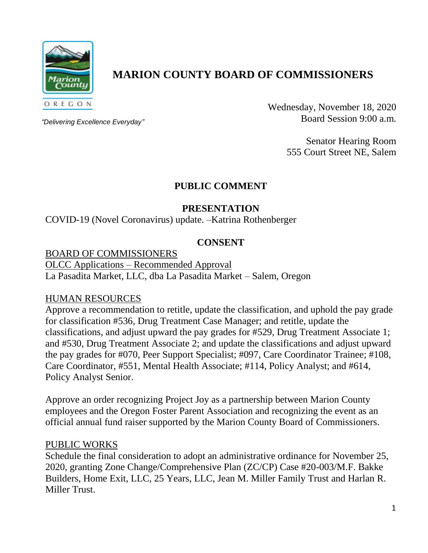

# **MARION COUNTY BOARD OF COMMISSIONERS**

*"Delivering Excellence Everyday"*

Wednesday, November 18, 2020 Board Session 9:00 a.m.

> Senator Hearing Room 555 Court Street NE, Salem

# **PUBLIC COMMENT**

# **PRESENTATION**

COVID-19 (Novel Coronavirus) update. –Katrina Rothenberger

# **CONSENT**

BOARD OF COMMISSIONERS OLCC Applications – Recommended Approval La Pasadita Market, LLC, dba La Pasadita Market – Salem, Oregon

### HUMAN RESOURCES

Approve a recommendation to retitle, update the classification, and uphold the pay grade for classification #536, Drug Treatment Case Manager; and retitle, update the classifications, and adjust upward the pay grades for #529, Drug Treatment Associate 1; and #530, Drug Treatment Associate 2; and update the classifications and adjust upward the pay grades for #070, Peer Support Specialist; #097, Care Coordinator Trainee; #108, Care Coordinator, #551, Mental Health Associate; #114, Policy Analyst; and #614, Policy Analyst Senior.

Approve an order recognizing Project Joy as a partnership between Marion County employees and the Oregon Foster Parent Association and recognizing the event as an official annual fund raiser supported by the Marion County Board of Commissioners.

### PUBLIC WORKS

Schedule the final consideration to adopt an administrative ordinance for November 25, 2020, granting Zone Change/Comprehensive Plan (ZC/CP) Case #20-003/M.F. Bakke Builders, Home Exit, LLC, 25 Years, LLC, Jean M. Miller Family Trust and Harlan R. Miller Trust.